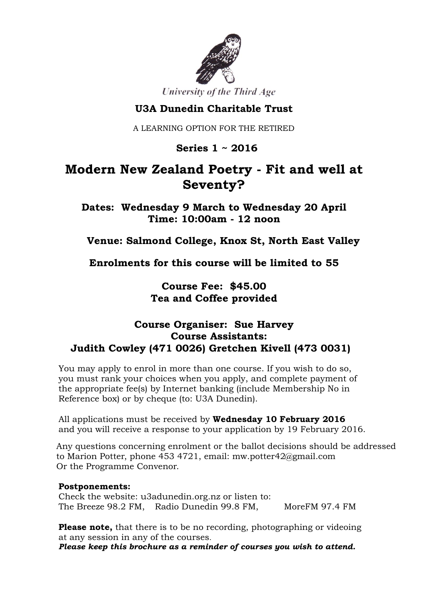

University of the Third Age

### **U3A Dunedin Charitable Trust**

A LEARNING OPTION FOR THE RETIRED

 **Series 1 ~ 2016**

# **Modern New Zealand Poetry - Fit and well at Seventy?**

**Dates: Wednesday 9 March to Wednesday 20 April Time: 10:00am - 12 noon**

**Venue: Salmond College, Knox St, North East Valley**

**Enrolments for this course will be limited to 55**

**Course Fee: \$45.00 Tea and Coffee provided**

### **Course Organiser: Sue Harvey Course Assistants: Judith Cowley (471 0026) Gretchen Kivell (473 0031)**

You may apply to enrol in more than one course. If you wish to do so, you must rank your choices when you apply, and complete payment of the appropriate fee(s) by Internet banking (include Membership No in Reference box) or by cheque (to: U3A Dunedin).

All applications must be received by **Wednesday 10 February 2016** and you will receive a response to your application by 19 February 2016.

Any questions concerning enrolment or the ballot decisions should be addressed to Marion Potter, phone 453 4721, email: mw.potter42@gmail.com Or the Programme Convenor.

#### **Postponements:**

Check the website: u3adunedin.org.nz or listen to: The Breeze 98.2 FM, Radio Dunedin 99.8 FM, MoreFM 97.4 FM

**Please note,** that there is to be no recording, photographing or videoing at any session in any of the courses.

*Please keep this brochure as a reminder of courses you wish to attend.*